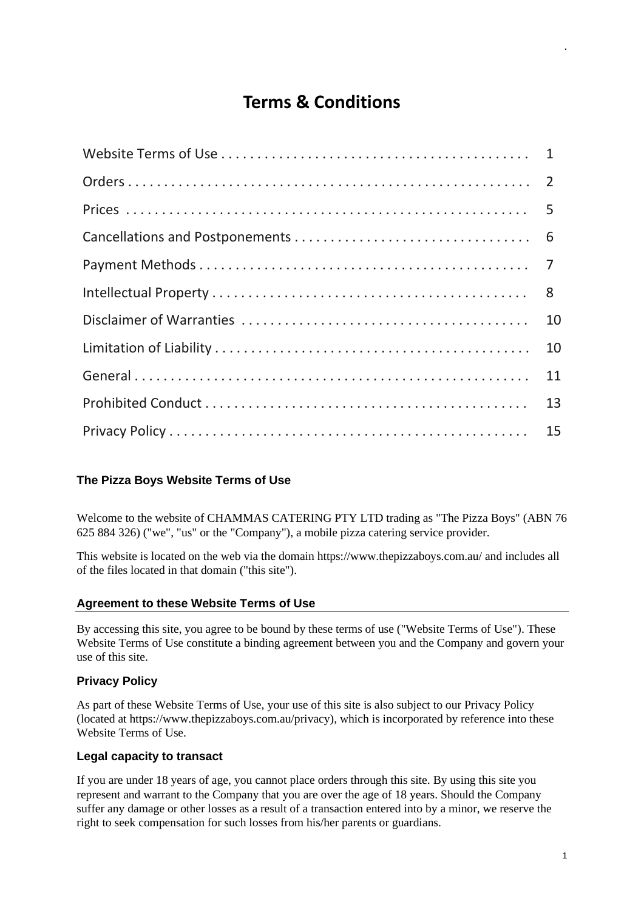# **Terms & Conditions**

| 10 |
|----|
| 10 |
| 11 |
| 13 |
| 15 |

# <span id="page-0-0"></span>**The Pizza Boys Website Terms of Use**

Welcome to the website of CHAMMAS CATERING PTY LTD trading as "The Pizza Boys" (ABN 76 625 884 326) ("we", "us" or the "Company"), a mobile pizza catering service provider.

This website is located on the web via the domain https://www.thepizzaboys.com.au/ and includes all of the files located in that domain ("this site").

# **Agreement to these Website Terms of Use**

By accessing this site, you agree to be bound by these terms of use ("Website Terms of Use"). These Website Terms of Use constitute a binding agreement between you and the Company and govern your use of this site.

# **Privacy Policy**

As part of these Website Terms of Use, your use of this site is also subject to our Privacy Policy (located at https://www.thepizzaboys.com.au/privacy), which is incorporated by reference into these Website Terms of Use.

# **Legal capacity to transact**

If you are under 18 years of age, you cannot place orders through this site. By using this site you represent and warrant to the Company that you are over the age of 18 years. Should the Company suffer any damage or other losses as a result of a transaction entered into by a minor, we reserve the right to seek compensation for such losses from his/her parents or guardians.

.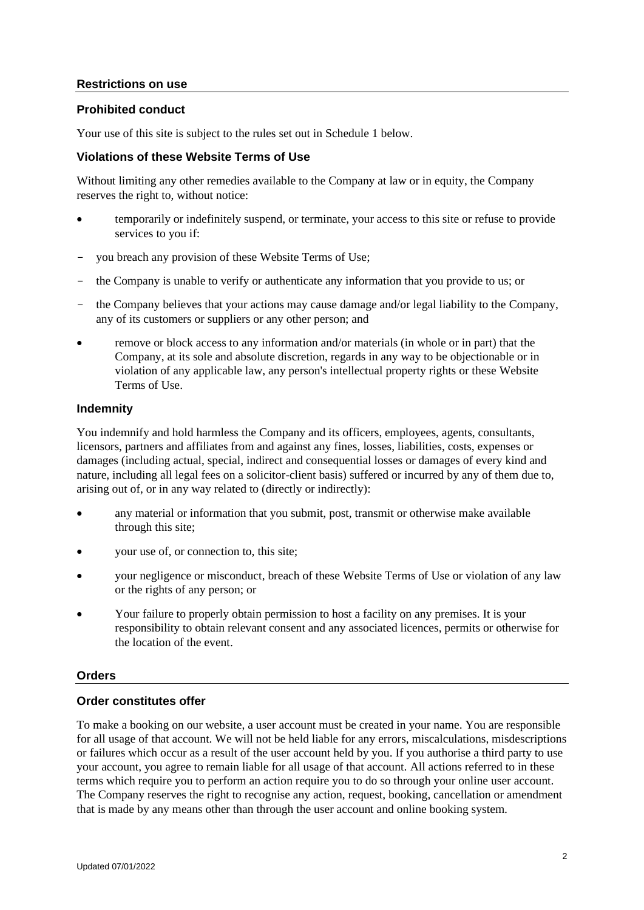### **Restrictions on use**

### **Prohibited conduct**

Your use of this site is subject to the rules set out in Schedule 1 below.

### **Violations of these Website Terms of Use**

Without limiting any other remedies available to the Company at law or in equity, the Company reserves the right to, without notice:

- temporarily or indefinitely suspend, or terminate, your access to this site or refuse to provide services to you if:
- you breach any provision of these Website Terms of Use;
- the Company is unable to verify or authenticate any information that you provide to us; or
- the Company believes that your actions may cause damage and/or legal liability to the Company, any of its customers or suppliers or any other person; and
- remove or block access to any information and/or materials (in whole or in part) that the Company, at its sole and absolute discretion, regards in any way to be objectionable or in violation of any applicable law, any person's intellectual property rights or these Website Terms of Use.

#### **Indemnity**

You indemnify and hold harmless the Company and its officers, employees, agents, consultants, licensors, partners and affiliates from and against any fines, losses, liabilities, costs, expenses or damages (including actual, special, indirect and consequential losses or damages of every kind and nature, including all legal fees on a solicitor-client basis) suffered or incurred by any of them due to, arising out of, or in any way related to (directly or indirectly):

- any material or information that you submit, post, transmit or otherwise make available through this site;
- vour use of, or connection to, this site:
- your negligence or misconduct, breach of these Website Terms of Use or violation of any law or the rights of any person; or
- Your failure to properly obtain permission to host a facility on any premises. It is your responsibility to obtain relevant consent and any associated licences, permits or otherwise for the location of the event.

#### <span id="page-1-0"></span>**Orders**

#### **Order constitutes offer**

To make a booking on our website, a user account must be created in your name. You are responsible for all usage of that account. We will not be held liable for any errors, miscalculations, misdescriptions or failures which occur as a result of the user account held by you. If you authorise a third party to use your account, you agree to remain liable for all usage of that account. All actions referred to in these terms which require you to perform an action require you to do so through your online user account. The Company reserves the right to recognise any action, request, booking, cancellation or amendment that is made by any means other than through the user account and online booking system.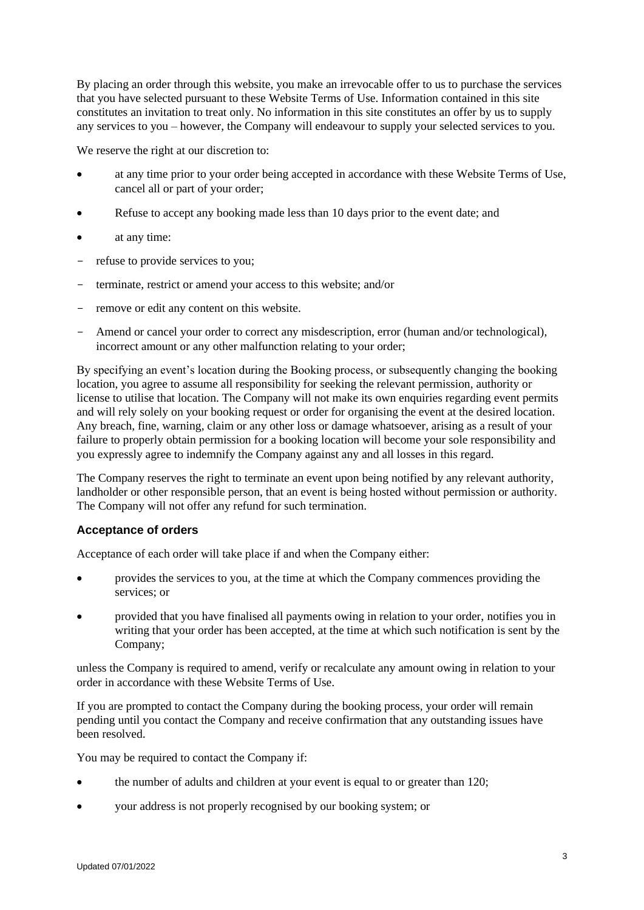By placing an order through this website, you make an irrevocable offer to us to purchase the services that you have selected pursuant to these Website Terms of Use. Information contained in this site constitutes an invitation to treat only. No information in this site constitutes an offer by us to supply any services to you – however, the Company will endeavour to supply your selected services to you.

We reserve the right at our discretion to:

- at any time prior to your order being accepted in accordance with these Website Terms of Use, cancel all or part of your order;
- Refuse to accept any booking made less than 10 days prior to the event date; and
- at any time:
- refuse to provide services to you;
- terminate, restrict or amend your access to this website; and/or
- remove or edit any content on this website.
- Amend or cancel your order to correct any misdescription, error (human and/or technological), incorrect amount or any other malfunction relating to your order;

By specifying an event's location during the Booking process, or subsequently changing the booking location, you agree to assume all responsibility for seeking the relevant permission, authority or license to utilise that location. The Company will not make its own enquiries regarding event permits and will rely solely on your booking request or order for organising the event at the desired location. Any breach, fine, warning, claim or any other loss or damage whatsoever, arising as a result of your failure to properly obtain permission for a booking location will become your sole responsibility and you expressly agree to indemnify the Company against any and all losses in this regard.

The Company reserves the right to terminate an event upon being notified by any relevant authority, landholder or other responsible person, that an event is being hosted without permission or authority. The Company will not offer any refund for such termination.

# **Acceptance of orders**

Acceptance of each order will take place if and when the Company either:

- provides the services to you, at the time at which the Company commences providing the services; or
- provided that you have finalised all payments owing in relation to your order, notifies you in writing that your order has been accepted, at the time at which such notification is sent by the Company;

unless the Company is required to amend, verify or recalculate any amount owing in relation to your order in accordance with these Website Terms of Use.

If you are prompted to contact the Company during the booking process, your order will remain pending until you contact the Company and receive confirmation that any outstanding issues have been resolved.

You may be required to contact the Company if:

- the number of adults and children at your event is equal to or greater than 120;
- your address is not properly recognised by our booking system; or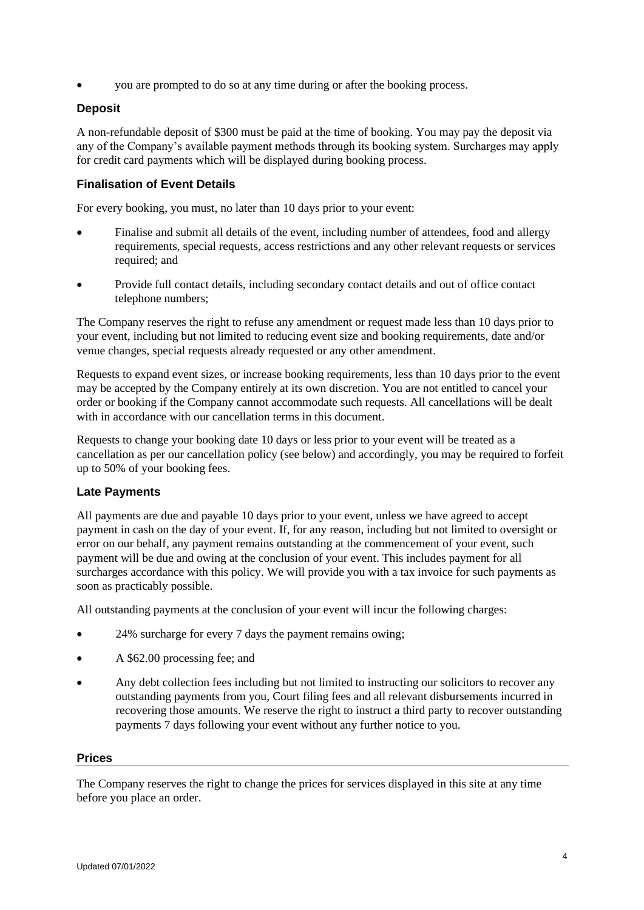• you are prompted to do so at any time during or after the booking process.

# **Deposit**

A non-refundable deposit of \$300 must be paid at the time of booking. You may pay the deposit via any of the Company's available payment methods through its booking system. Surcharges may apply for credit card payments which will be displayed during booking process.

# **Finalisation of Event Details**

For every booking, you must, no later than 10 days prior to your event:

- Finalise and submit all details of the event, including number of attendees, food and allergy requirements, special requests, access restrictions and any other relevant requests or services required; and
- Provide full contact details, including secondary contact details and out of office contact telephone numbers;

The Company reserves the right to refuse any amendment or request made less than 10 days prior to your event, including but not limited to reducing event size and booking requirements, date and/or venue changes, special requests already requested or any other amendment.

Requests to expand event sizes, or increase booking requirements, less than 10 days prior to the event may be accepted by the Company entirely at its own discretion. You are not entitled to cancel your order or booking if the Company cannot accommodate such requests. All cancellations will be dealt with in accordance with our cancellation terms in this document.

Requests to change your booking date 10 days or less prior to your event will be treated as a cancellation as per our cancellation policy (see below) and accordingly, you may be required to forfeit up to 50% of your booking fees.

# **Late Payments**

All payments are due and payable 10 days prior to your event, unless we have agreed to accept payment in cash on the day of your event. If, for any reason, including but not limited to oversight or error on our behalf, any payment remains outstanding at the commencement of your event, such payment will be due and owing at the conclusion of your event. This includes payment for all surcharges accordance with this policy. We will provide you with a tax invoice for such payments as soon as practicably possible.

All outstanding payments at the conclusion of your event will incur the following charges:

- 24% surcharge for every 7 days the payment remains owing;
- A \$62.00 processing fee; and
- Any debt collection fees including but not limited to instructing our solicitors to recover any outstanding payments from you, Court filing fees and all relevant disbursements incurred in recovering those amounts. We reserve the right to instruct a third party to recover outstanding payments 7 days following your event without any further notice to you.

#### <span id="page-3-0"></span>**Prices**

The Company reserves the right to change the prices for services displayed in this site at any time before you place an order.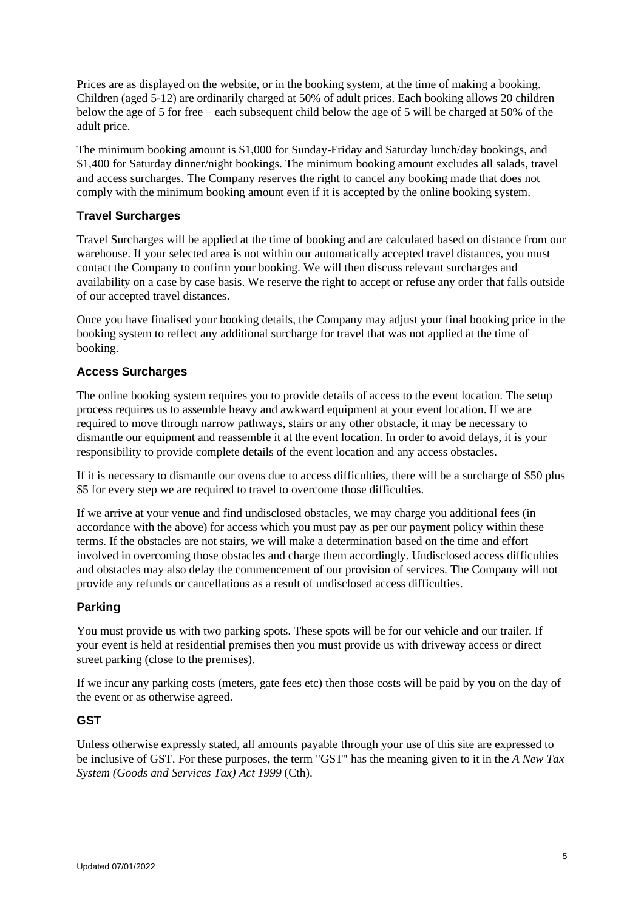Prices are as displayed on the website, or in the booking system, at the time of making a booking. Children (aged 5-12) are ordinarily charged at 50% of adult prices. Each booking allows 20 children below the age of 5 for free – each subsequent child below the age of 5 will be charged at 50% of the adult price.

The minimum booking amount is \$1,000 for Sunday-Friday and Saturday lunch/day bookings, and \$1,400 for Saturday dinner/night bookings. The minimum booking amount excludes all salads, travel and access surcharges. The Company reserves the right to cancel any booking made that does not comply with the minimum booking amount even if it is accepted by the online booking system.

# **Travel Surcharges**

Travel Surcharges will be applied at the time of booking and are calculated based on distance from our warehouse. If your selected area is not within our automatically accepted travel distances, you must contact the Company to confirm your booking. We will then discuss relevant surcharges and availability on a case by case basis. We reserve the right to accept or refuse any order that falls outside of our accepted travel distances.

Once you have finalised your booking details, the Company may adjust your final booking price in the booking system to reflect any additional surcharge for travel that was not applied at the time of booking.

# **Access Surcharges**

The online booking system requires you to provide details of access to the event location. The setup process requires us to assemble heavy and awkward equipment at your event location. If we are required to move through narrow pathways, stairs or any other obstacle, it may be necessary to dismantle our equipment and reassemble it at the event location. In order to avoid delays, it is your responsibility to provide complete details of the event location and any access obstacles.

If it is necessary to dismantle our ovens due to access difficulties, there will be a surcharge of \$50 plus \$5 for every step we are required to travel to overcome those difficulties.

If we arrive at your venue and find undisclosed obstacles, we may charge you additional fees (in accordance with the above) for access which you must pay as per our payment policy within these terms. If the obstacles are not stairs, we will make a determination based on the time and effort involved in overcoming those obstacles and charge them accordingly. Undisclosed access difficulties and obstacles may also delay the commencement of our provision of services. The Company will not provide any refunds or cancellations as a result of undisclosed access difficulties.

# **Parking**

You must provide us with two parking spots. These spots will be for our vehicle and our trailer. If your event is held at residential premises then you must provide us with driveway access or direct street parking (close to the premises).

If we incur any parking costs (meters, gate fees etc) then those costs will be paid by you on the day of the event or as otherwise agreed.

# **GST**

Unless otherwise expressly stated, all amounts payable through your use of this site are expressed to be inclusive of GST. For these purposes, the term "GST" has the meaning given to it in the *A New Tax System (Goods and Services Tax) Act 1999* (Cth).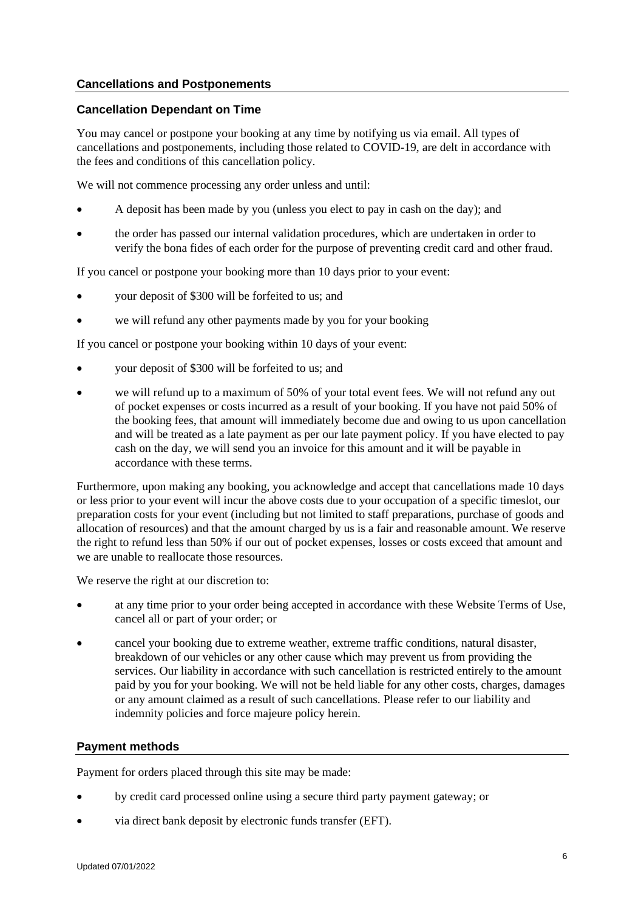# <span id="page-5-0"></span>**Cancellations and Postponements**

# **Cancellation Dependant on Time**

You may cancel or postpone your booking at any time by notifying us via email. All types of cancellations and postponements, including those related to COVID-19, are delt in accordance with the fees and conditions of this cancellation policy.

We will not commence processing any order unless and until:

- A deposit has been made by you (unless you elect to pay in cash on the day); and
- the order has passed our internal validation procedures, which are undertaken in order to verify the bona fides of each order for the purpose of preventing credit card and other fraud.

If you cancel or postpone your booking more than 10 days prior to your event:

- your deposit of \$300 will be forfeited to us; and
- we will refund any other payments made by you for your booking

If you cancel or postpone your booking within 10 days of your event:

- your deposit of \$300 will be forfeited to us; and
- we will refund up to a maximum of 50% of your total event fees. We will not refund any out of pocket expenses or costs incurred as a result of your booking. If you have not paid 50% of the booking fees, that amount will immediately become due and owing to us upon cancellation and will be treated as a late payment as per our late payment policy. If you have elected to pay cash on the day, we will send you an invoice for this amount and it will be payable in accordance with these terms.

Furthermore, upon making any booking, you acknowledge and accept that cancellations made 10 days or less prior to your event will incur the above costs due to your occupation of a specific timeslot, our preparation costs for your event (including but not limited to staff preparations, purchase of goods and allocation of resources) and that the amount charged by us is a fair and reasonable amount. We reserve the right to refund less than 50% if our out of pocket expenses, losses or costs exceed that amount and we are unable to reallocate those resources.

We reserve the right at our discretion to:

- at any time prior to your order being accepted in accordance with these Website Terms of Use, cancel all or part of your order; or
- cancel your booking due to extreme weather, extreme traffic conditions, natural disaster, breakdown of our vehicles or any other cause which may prevent us from providing the services. Our liability in accordance with such cancellation is restricted entirely to the amount paid by you for your booking. We will not be held liable for any other costs, charges, damages or any amount claimed as a result of such cancellations. Please refer to our liability and indemnity policies and force majeure policy herein.

#### <span id="page-5-1"></span>**Payment methods**

Payment for orders placed through this site may be made:

- by credit card processed online using a secure third party payment gateway; or
- via direct bank deposit by electronic funds transfer (EFT).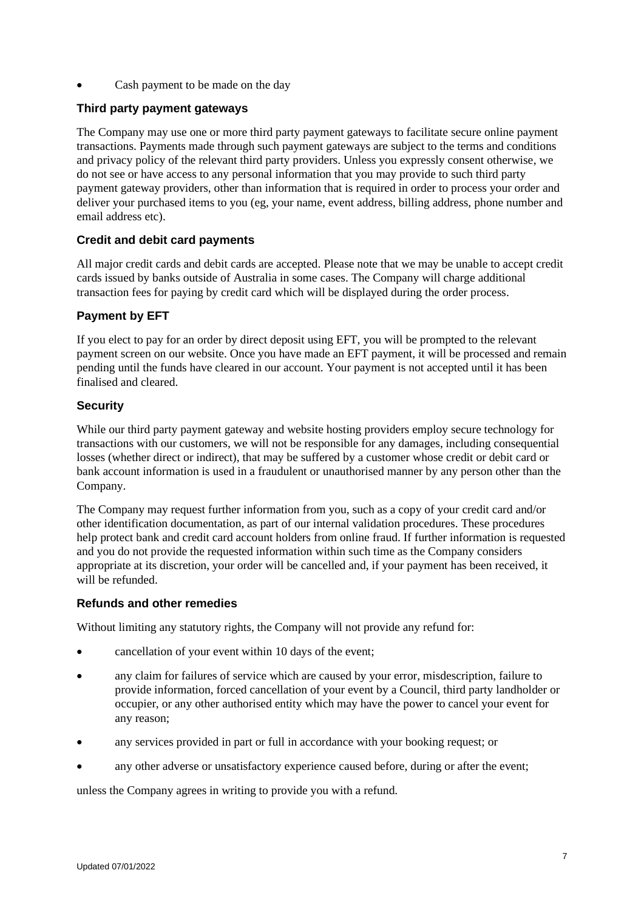Cash payment to be made on the day

# **Third party payment gateways**

The Company may use one or more third party payment gateways to facilitate secure online payment transactions. Payments made through such payment gateways are subject to the terms and conditions and privacy policy of the relevant third party providers. Unless you expressly consent otherwise, we do not see or have access to any personal information that you may provide to such third party payment gateway providers, other than information that is required in order to process your order and deliver your purchased items to you (eg, your name, event address, billing address, phone number and email address etc).

# **Credit and debit card payments**

All major credit cards and debit cards are accepted. Please note that we may be unable to accept credit cards issued by banks outside of Australia in some cases. The Company will charge additional transaction fees for paying by credit card which will be displayed during the order process.

# **Payment by EFT**

If you elect to pay for an order by direct deposit using EFT, you will be prompted to the relevant payment screen on our website. Once you have made an EFT payment, it will be processed and remain pending until the funds have cleared in our account. Your payment is not accepted until it has been finalised and cleared.

# **Security**

While our third party payment gateway and website hosting providers employ secure technology for transactions with our customers, we will not be responsible for any damages, including consequential losses (whether direct or indirect), that may be suffered by a customer whose credit or debit card or bank account information is used in a fraudulent or unauthorised manner by any person other than the Company.

The Company may request further information from you, such as a copy of your credit card and/or other identification documentation, as part of our internal validation procedures. These procedures help protect bank and credit card account holders from online fraud. If further information is requested and you do not provide the requested information within such time as the Company considers appropriate at its discretion, your order will be cancelled and, if your payment has been received, it will be refunded.

# **Refunds and other remedies**

Without limiting any statutory rights, the Company will not provide any refund for:

- cancellation of your event within 10 days of the event;
- any claim for failures of service which are caused by your error, misdescription, failure to provide information, forced cancellation of your event by a Council, third party landholder or occupier, or any other authorised entity which may have the power to cancel your event for any reason;
- any services provided in part or full in accordance with your booking request; or
- any other adverse or unsatisfactory experience caused before, during or after the event;

unless the Company agrees in writing to provide you with a refund.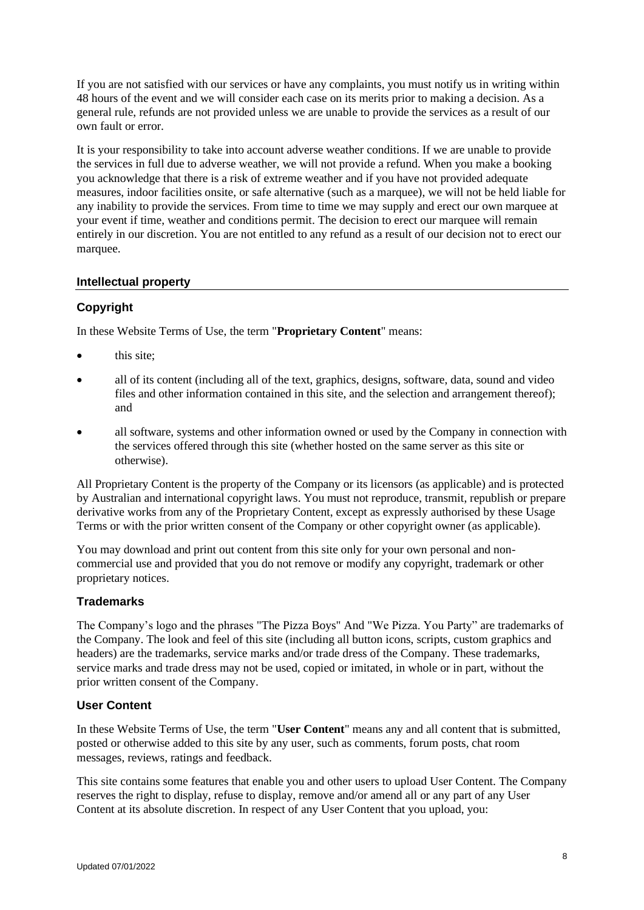If you are not satisfied with our services or have any complaints, you must notify us in writing within 48 hours of the event and we will consider each case on its merits prior to making a decision. As a general rule, refunds are not provided unless we are unable to provide the services as a result of our own fault or error.

It is your responsibility to take into account adverse weather conditions. If we are unable to provide the services in full due to adverse weather, we will not provide a refund. When you make a booking you acknowledge that there is a risk of extreme weather and if you have not provided adequate measures, indoor facilities onsite, or safe alternative (such as a marquee), we will not be held liable for any inability to provide the services. From time to time we may supply and erect our own marquee at your event if time, weather and conditions permit. The decision to erect our marquee will remain entirely in our discretion. You are not entitled to any refund as a result of our decision not to erect our marquee.

# <span id="page-7-0"></span>**Intellectual property**

# **Copyright**

In these Website Terms of Use, the term "**Proprietary Content**" means:

- this site:
- all of its content (including all of the text, graphics, designs, software, data, sound and video files and other information contained in this site, and the selection and arrangement thereof); and
- all software, systems and other information owned or used by the Company in connection with the services offered through this site (whether hosted on the same server as this site or otherwise).

All Proprietary Content is the property of the Company or its licensors (as applicable) and is protected by Australian and international copyright laws. You must not reproduce, transmit, republish or prepare derivative works from any of the Proprietary Content, except as expressly authorised by these Usage Terms or with the prior written consent of the Company or other copyright owner (as applicable).

You may download and print out content from this site only for your own personal and noncommercial use and provided that you do not remove or modify any copyright, trademark or other proprietary notices.

# **Trademarks**

The Company's logo and the phrases "The Pizza Boys" And "We Pizza. You Party" are trademarks of the Company. The look and feel of this site (including all button icons, scripts, custom graphics and headers) are the trademarks, service marks and/or trade dress of the Company. These trademarks, service marks and trade dress may not be used, copied or imitated, in whole or in part, without the prior written consent of the Company.

# **User Content**

In these Website Terms of Use, the term "**User Content**" means any and all content that is submitted, posted or otherwise added to this site by any user, such as comments, forum posts, chat room messages, reviews, ratings and feedback.

This site contains some features that enable you and other users to upload User Content. The Company reserves the right to display, refuse to display, remove and/or amend all or any part of any User Content at its absolute discretion. In respect of any User Content that you upload, you: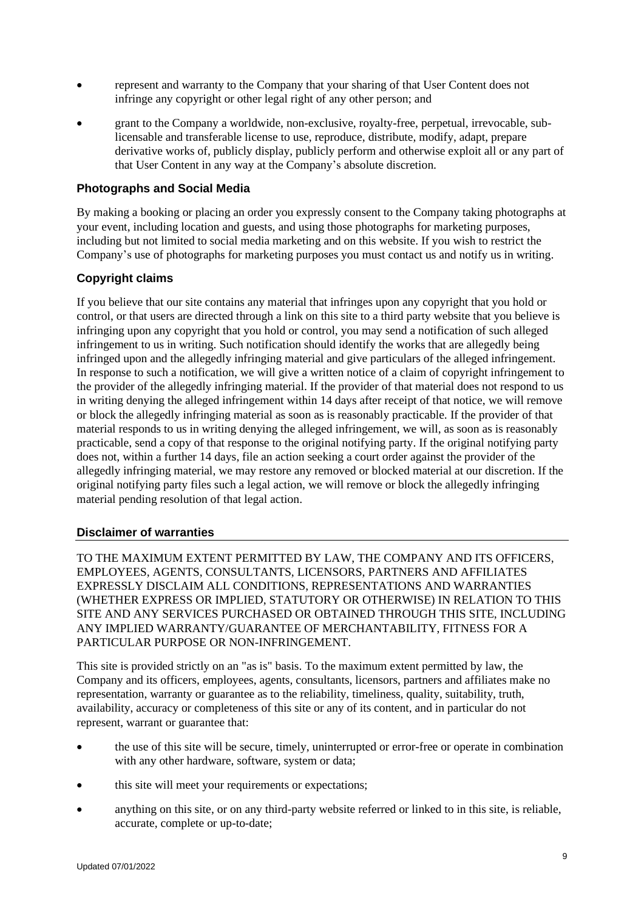- represent and warranty to the Company that your sharing of that User Content does not infringe any copyright or other legal right of any other person; and
- grant to the Company a worldwide, non-exclusive, royalty-free, perpetual, irrevocable, sublicensable and transferable license to use, reproduce, distribute, modify, adapt, prepare derivative works of, publicly display, publicly perform and otherwise exploit all or any part of that User Content in any way at the Company's absolute discretion.

## **Photographs and Social Media**

By making a booking or placing an order you expressly consent to the Company taking photographs at your event, including location and guests, and using those photographs for marketing purposes, including but not limited to social media marketing and on this website. If you wish to restrict the Company's use of photographs for marketing purposes you must contact us and notify us in writing.

# **Copyright claims**

If you believe that our site contains any material that infringes upon any copyright that you hold or control, or that users are directed through a link on this site to a third party website that you believe is infringing upon any copyright that you hold or control, you may send a notification of such alleged infringement to us in writing. Such notification should identify the works that are allegedly being infringed upon and the allegedly infringing material and give particulars of the alleged infringement. In response to such a notification, we will give a written notice of a claim of copyright infringement to the provider of the allegedly infringing material. If the provider of that material does not respond to us in writing denying the alleged infringement within 14 days after receipt of that notice, we will remove or block the allegedly infringing material as soon as is reasonably practicable. If the provider of that material responds to us in writing denying the alleged infringement, we will, as soon as is reasonably practicable, send a copy of that response to the original notifying party. If the original notifying party does not, within a further 14 days, file an action seeking a court order against the provider of the allegedly infringing material, we may restore any removed or blocked material at our discretion. If the original notifying party files such a legal action, we will remove or block the allegedly infringing material pending resolution of that legal action.

#### <span id="page-8-0"></span>**Disclaimer of warranties**

TO THE MAXIMUM EXTENT PERMITTED BY LAW, THE COMPANY AND ITS OFFICERS, EMPLOYEES, AGENTS, CONSULTANTS, LICENSORS, PARTNERS AND AFFILIATES EXPRESSLY DISCLAIM ALL CONDITIONS, REPRESENTATIONS AND WARRANTIES (WHETHER EXPRESS OR IMPLIED, STATUTORY OR OTHERWISE) IN RELATION TO THIS SITE AND ANY SERVICES PURCHASED OR OBTAINED THROUGH THIS SITE, INCLUDING ANY IMPLIED WARRANTY/GUARANTEE OF MERCHANTABILITY, FITNESS FOR A PARTICULAR PURPOSE OR NON-INFRINGEMENT.

This site is provided strictly on an "as is" basis. To the maximum extent permitted by law, the Company and its officers, employees, agents, consultants, licensors, partners and affiliates make no representation, warranty or guarantee as to the reliability, timeliness, quality, suitability, truth, availability, accuracy or completeness of this site or any of its content, and in particular do not represent, warrant or guarantee that:

- the use of this site will be secure, timely, uninterrupted or error-free or operate in combination with any other hardware, software, system or data;
- this site will meet your requirements or expectations;
- anything on this site, or on any third-party website referred or linked to in this site, is reliable, accurate, complete or up-to-date;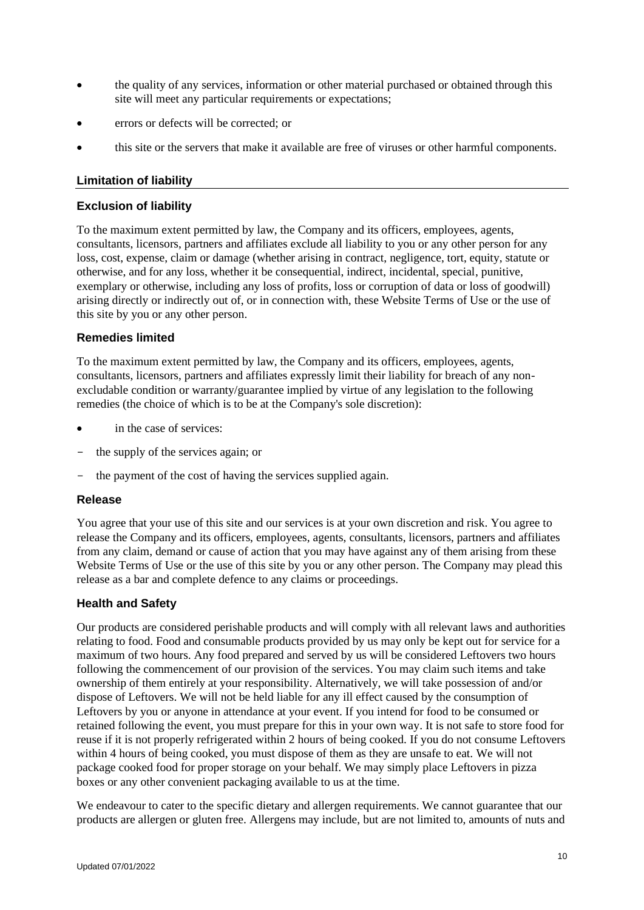- the quality of any services, information or other material purchased or obtained through this site will meet any particular requirements or expectations;
- errors or defects will be corrected; or
- this site or the servers that make it available are free of viruses or other harmful components.

## <span id="page-9-0"></span>**Limitation of liability**

### **Exclusion of liability**

To the maximum extent permitted by law, the Company and its officers, employees, agents, consultants, licensors, partners and affiliates exclude all liability to you or any other person for any loss, cost, expense, claim or damage (whether arising in contract, negligence, tort, equity, statute or otherwise, and for any loss, whether it be consequential, indirect, incidental, special, punitive, exemplary or otherwise, including any loss of profits, loss or corruption of data or loss of goodwill) arising directly or indirectly out of, or in connection with, these Website Terms of Use or the use of this site by you or any other person.

### **Remedies limited**

To the maximum extent permitted by law, the Company and its officers, employees, agents, consultants, licensors, partners and affiliates expressly limit their liability for breach of any nonexcludable condition or warranty/guarantee implied by virtue of any legislation to the following remedies (the choice of which is to be at the Company's sole discretion):

- in the case of services:
- the supply of the services again; or
- the payment of the cost of having the services supplied again.

#### **Release**

You agree that your use of this site and our services is at your own discretion and risk. You agree to release the Company and its officers, employees, agents, consultants, licensors, partners and affiliates from any claim, demand or cause of action that you may have against any of them arising from these Website Terms of Use or the use of this site by you or any other person. The Company may plead this release as a bar and complete defence to any claims or proceedings.

#### **Health and Safety**

Our products are considered perishable products and will comply with all relevant laws and authorities relating to food. Food and consumable products provided by us may only be kept out for service for a maximum of two hours. Any food prepared and served by us will be considered Leftovers two hours following the commencement of our provision of the services. You may claim such items and take ownership of them entirely at your responsibility. Alternatively, we will take possession of and/or dispose of Leftovers. We will not be held liable for any ill effect caused by the consumption of Leftovers by you or anyone in attendance at your event. If you intend for food to be consumed or retained following the event, you must prepare for this in your own way. It is not safe to store food for reuse if it is not properly refrigerated within 2 hours of being cooked. If you do not consume Leftovers within 4 hours of being cooked, you must dispose of them as they are unsafe to eat. We will not package cooked food for proper storage on your behalf. We may simply place Leftovers in pizza boxes or any other convenient packaging available to us at the time.

We endeavour to cater to the specific dietary and allergen requirements. We cannot guarantee that our products are allergen or gluten free. Allergens may include, but are not limited to, amounts of nuts and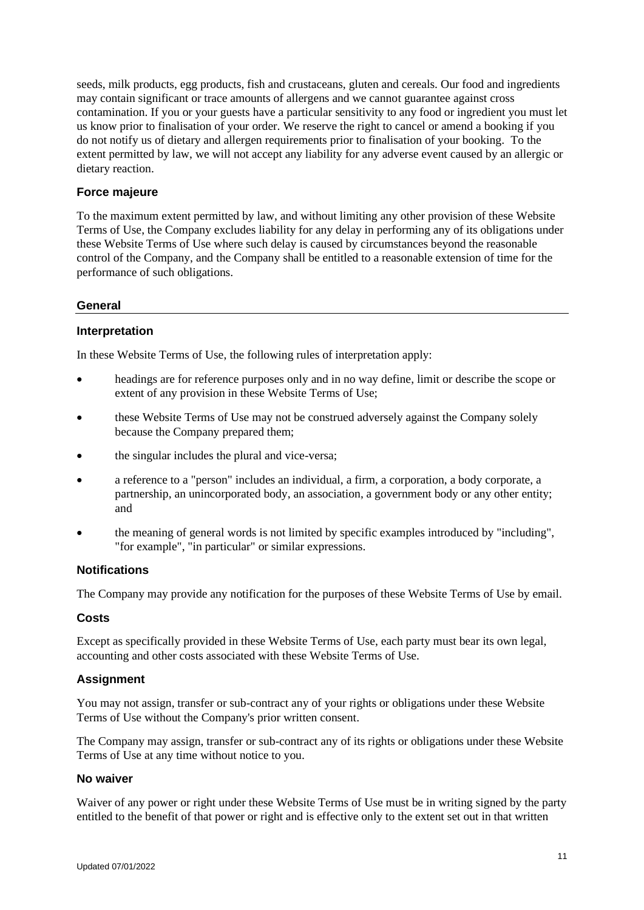seeds, milk products, egg products, fish and crustaceans, gluten and cereals. Our food and ingredients may contain significant or trace amounts of allergens and we cannot guarantee against cross contamination. If you or your guests have a particular sensitivity to any food or ingredient you must let us know prior to finalisation of your order. We reserve the right to cancel or amend a booking if you do not notify us of dietary and allergen requirements prior to finalisation of your booking. To the extent permitted by law, we will not accept any liability for any adverse event caused by an allergic or dietary reaction.

## **Force majeure**

To the maximum extent permitted by law, and without limiting any other provision of these Website Terms of Use, the Company excludes liability for any delay in performing any of its obligations under these Website Terms of Use where such delay is caused by circumstances beyond the reasonable control of the Company, and the Company shall be entitled to a reasonable extension of time for the performance of such obligations.

#### <span id="page-10-0"></span>**General**

#### **Interpretation**

In these Website Terms of Use, the following rules of interpretation apply:

- headings are for reference purposes only and in no way define, limit or describe the scope or extent of any provision in these Website Terms of Use;
- these Website Terms of Use may not be construed adversely against the Company solely because the Company prepared them;
- the singular includes the plural and vice-versa;
- a reference to a "person" includes an individual, a firm, a corporation, a body corporate, a partnership, an unincorporated body, an association, a government body or any other entity; and
- the meaning of general words is not limited by specific examples introduced by "including", "for example", "in particular" or similar expressions.

#### **Notifications**

The Company may provide any notification for the purposes of these Website Terms of Use by email.

#### **Costs**

Except as specifically provided in these Website Terms of Use, each party must bear its own legal, accounting and other costs associated with these Website Terms of Use.

#### **Assignment**

You may not assign, transfer or sub-contract any of your rights or obligations under these Website Terms of Use without the Company's prior written consent.

The Company may assign, transfer or sub-contract any of its rights or obligations under these Website Terms of Use at any time without notice to you.

#### **No waiver**

Waiver of any power or right under these Website Terms of Use must be in writing signed by the party entitled to the benefit of that power or right and is effective only to the extent set out in that written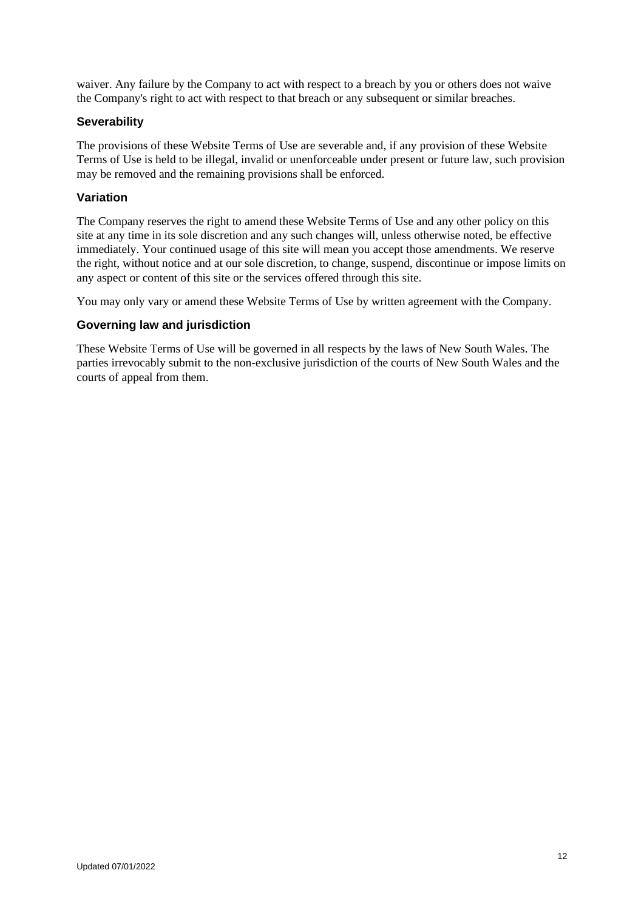waiver. Any failure by the Company to act with respect to a breach by you or others does not waive the Company's right to act with respect to that breach or any subsequent or similar breaches.

## **Severability**

The provisions of these Website Terms of Use are severable and, if any provision of these Website Terms of Use is held to be illegal, invalid or unenforceable under present or future law, such provision may be removed and the remaining provisions shall be enforced.

### **Variation**

The Company reserves the right to amend these Website Terms of Use and any other policy on this site at any time in its sole discretion and any such changes will, unless otherwise noted, be effective immediately. Your continued usage of this site will mean you accept those amendments. We reserve the right, without notice and at our sole discretion, to change, suspend, discontinue or impose limits on any aspect or content of this site or the services offered through this site.

You may only vary or amend these Website Terms of Use by written agreement with the Company.

### **Governing law and jurisdiction**

These Website Terms of Use will be governed in all respects by the laws of New South Wales. The parties irrevocably submit to the non-exclusive jurisdiction of the courts of New South Wales and the courts of appeal from them.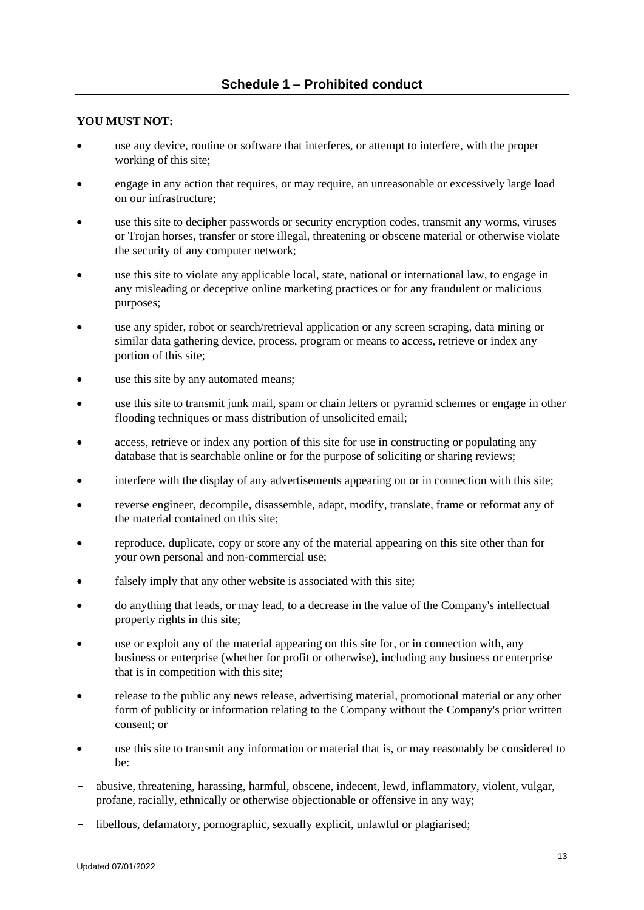# <span id="page-12-0"></span>**YOU MUST NOT:**

- use any device, routine or software that interferes, or attempt to interfere, with the proper working of this site;
- engage in any action that requires, or may require, an unreasonable or excessively large load on our infrastructure;
- use this site to decipher passwords or security encryption codes, transmit any worms, viruses or Trojan horses, transfer or store illegal, threatening or obscene material or otherwise violate the security of any computer network;
- use this site to violate any applicable local, state, national or international law, to engage in any misleading or deceptive online marketing practices or for any fraudulent or malicious purposes;
- use any spider, robot or search/retrieval application or any screen scraping, data mining or similar data gathering device, process, program or means to access, retrieve or index any portion of this site;
- use this site by any automated means;
- use this site to transmit junk mail, spam or chain letters or pyramid schemes or engage in other flooding techniques or mass distribution of unsolicited email;
- access, retrieve or index any portion of this site for use in constructing or populating any database that is searchable online or for the purpose of soliciting or sharing reviews;
- interfere with the display of any advertisements appearing on or in connection with this site;
- reverse engineer, decompile, disassemble, adapt, modify, translate, frame or reformat any of the material contained on this site;
- reproduce, duplicate, copy or store any of the material appearing on this site other than for your own personal and non-commercial use;
- falsely imply that any other website is associated with this site;
- do anything that leads, or may lead, to a decrease in the value of the Company's intellectual property rights in this site;
- use or exploit any of the material appearing on this site for, or in connection with, any business or enterprise (whether for profit or otherwise), including any business or enterprise that is in competition with this site;
- release to the public any news release, advertising material, promotional material or any other form of publicity or information relating to the Company without the Company's prior written consent; or
- use this site to transmit any information or material that is, or may reasonably be considered to be:
- abusive, threatening, harassing, harmful, obscene, indecent, lewd, inflammatory, violent, vulgar, profane, racially, ethnically or otherwise objectionable or offensive in any way;
- libellous, defamatory, pornographic, sexually explicit, unlawful or plagiarised;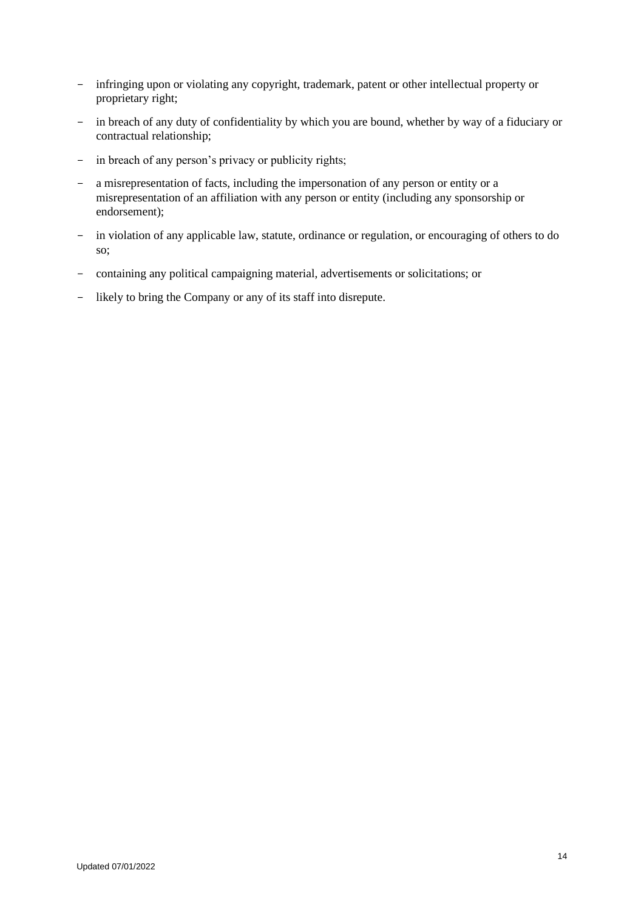- infringing upon or violating any copyright, trademark, patent or other intellectual property or proprietary right;
- in breach of any duty of confidentiality by which you are bound, whether by way of a fiduciary or contractual relationship;
- in breach of any person's privacy or publicity rights;
- a misrepresentation of facts, including the impersonation of any person or entity or a misrepresentation of an affiliation with any person or entity (including any sponsorship or endorsement);
- in violation of any applicable law, statute, ordinance or regulation, or encouraging of others to do so;
- containing any political campaigning material, advertisements or solicitations; or
- likely to bring the Company or any of its staff into disrepute.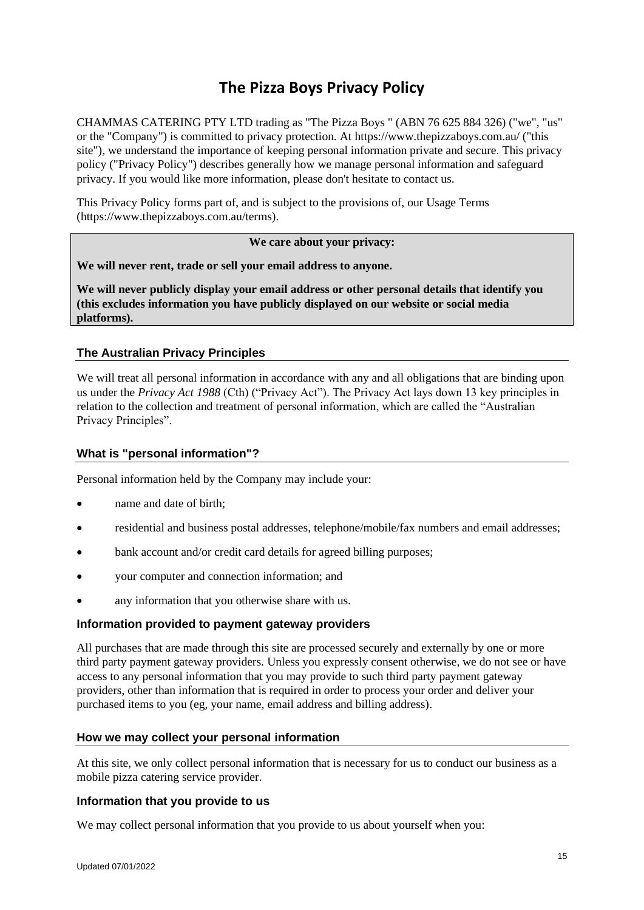# **The Pizza Boys Privacy Policy**

CHAMMAS CATERING PTY LTD trading as "The Pizza Boys " (ABN 76 625 884 326) ("we", "us" or the "Company") is committed to privacy protection. At https://www.thepizzaboys.com.au/ ("this site"), we understand the importance of keeping personal information private and secure. This privacy policy ("Privacy Policy") describes generally how we manage personal information and safeguard privacy. If you would like more information, please don't hesitate to contact us.

This Privacy Policy forms part of, and is subject to the provisions of, our Usage Terms (https://www.thepizzaboys.com.au/terms).

### **We care about your privacy:**

**We will never rent, trade or sell your email address to anyone.**

**We will never publicly display your email address or other personal details that identify you (this excludes information you have publicly displayed on our website or social media platforms).**

### <span id="page-14-0"></span>**The Australian Privacy Principles**

We will treat all personal information in accordance with any and all obligations that are binding upon us under the *Privacy Act 1988* (Cth) ("Privacy Act"). The Privacy Act lays down 13 key principles in relation to the collection and treatment of personal information, which are called the "Australian Privacy Principles".

#### **What is "personal information"?**

Personal information held by the Company may include your:

- name and date of birth:
- residential and business postal addresses, telephone/mobile/fax numbers and email addresses;
- bank account and/or credit card details for agreed billing purposes;
- your computer and connection information; and
- any information that you otherwise share with us.

#### **Information provided to payment gateway providers**

All purchases that are made through this site are processed securely and externally by one or more third party payment gateway providers. Unless you expressly consent otherwise, we do not see or have access to any personal information that you may provide to such third party payment gateway providers, other than information that is required in order to process your order and deliver your purchased items to you (eg, your name, email address and billing address).

#### **How we may collect your personal information**

At this site, we only collect personal information that is necessary for us to conduct our business as a mobile pizza catering service provider.

#### **Information that you provide to us**

We may collect personal information that you provide to us about yourself when you: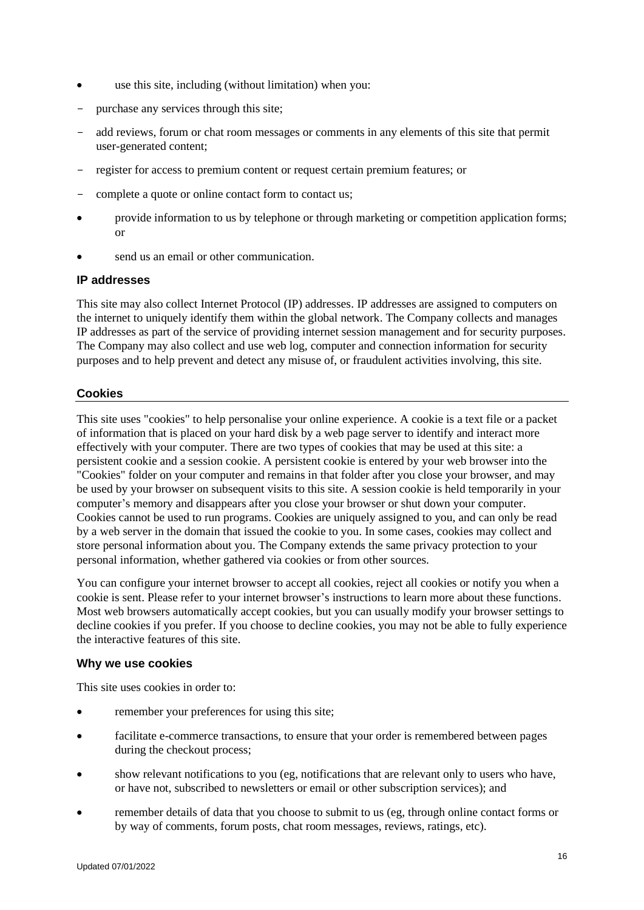- use this site, including (without limitation) when you:
- purchase any services through this site;
- add reviews, forum or chat room messages or comments in any elements of this site that permit user-generated content;
- register for access to premium content or request certain premium features; or
- complete a quote or online contact form to contact us;
- provide information to us by telephone or through marketing or competition application forms; or
- send us an email or other communication.

#### **IP addresses**

This site may also collect Internet Protocol (IP) addresses. IP addresses are assigned to computers on the internet to uniquely identify them within the global network. The Company collects and manages IP addresses as part of the service of providing internet session management and for security purposes. The Company may also collect and use web log, computer and connection information for security purposes and to help prevent and detect any misuse of, or fraudulent activities involving, this site.

#### **Cookies**

This site uses "cookies" to help personalise your online experience. A cookie is a text file or a packet of information that is placed on your hard disk by a web page server to identify and interact more effectively with your computer. There are two types of cookies that may be used at this site: a persistent cookie and a session cookie. A persistent cookie is entered by your web browser into the "Cookies" folder on your computer and remains in that folder after you close your browser, and may be used by your browser on subsequent visits to this site. A session cookie is held temporarily in your computer's memory and disappears after you close your browser or shut down your computer. Cookies cannot be used to run programs. Cookies are uniquely assigned to you, and can only be read by a web server in the domain that issued the cookie to you. In some cases, cookies may collect and store personal information about you. The Company extends the same privacy protection to your personal information, whether gathered via cookies or from other sources.

You can configure your internet browser to accept all cookies, reject all cookies or notify you when a cookie is sent. Please refer to your internet browser's instructions to learn more about these functions. Most web browsers automatically accept cookies, but you can usually modify your browser settings to decline cookies if you prefer. If you choose to decline cookies, you may not be able to fully experience the interactive features of this site.

#### **Why we use cookies**

This site uses cookies in order to:

- remember your preferences for using this site;
- facilitate e-commerce transactions, to ensure that your order is remembered between pages during the checkout process;
- show relevant notifications to you (eg, notifications that are relevant only to users who have, or have not, subscribed to newsletters or email or other subscription services); and
- remember details of data that you choose to submit to us (eg, through online contact forms or by way of comments, forum posts, chat room messages, reviews, ratings, etc).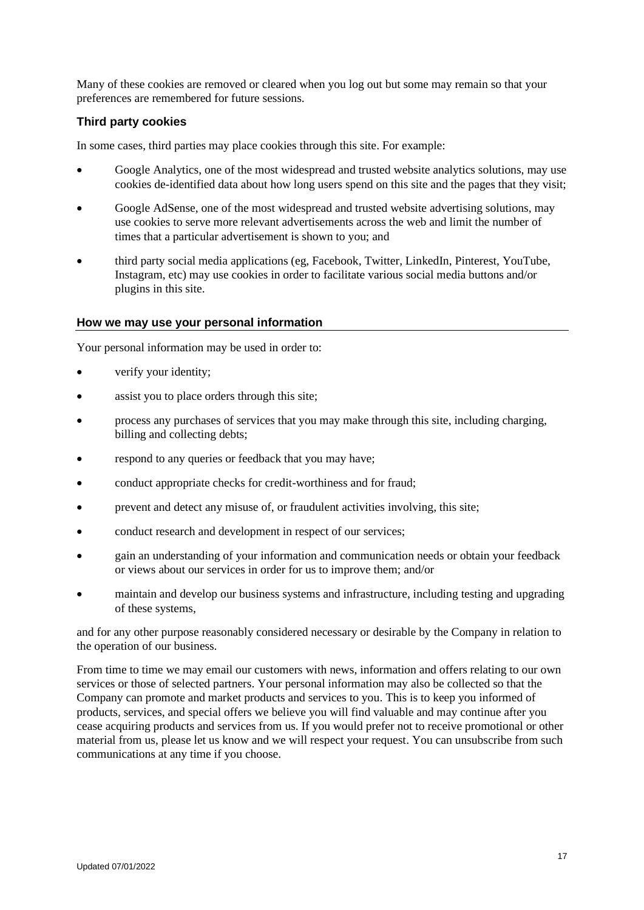Many of these cookies are removed or cleared when you log out but some may remain so that your preferences are remembered for future sessions.

## **Third party cookies**

In some cases, third parties may place cookies through this site. For example:

- Google Analytics, one of the most widespread and trusted website analytics solutions, may use cookies de-identified data about how long users spend on this site and the pages that they visit;
- Google AdSense, one of the most widespread and trusted website advertising solutions, may use cookies to serve more relevant advertisements across the web and limit the number of times that a particular advertisement is shown to you; and
- third party social media applications (eg, Facebook, Twitter, LinkedIn, Pinterest, YouTube, Instagram, etc) may use cookies in order to facilitate various social media buttons and/or plugins in this site.

#### **How we may use your personal information**

Your personal information may be used in order to:

- verify your identity;
- assist you to place orders through this site;
- process any purchases of services that you may make through this site, including charging, billing and collecting debts;
- respond to any queries or feedback that you may have;
- conduct appropriate checks for credit-worthiness and for fraud;
- prevent and detect any misuse of, or fraudulent activities involving, this site;
- conduct research and development in respect of our services;
- gain an understanding of your information and communication needs or obtain your feedback or views about our services in order for us to improve them; and/or
- maintain and develop our business systems and infrastructure, including testing and upgrading of these systems,

and for any other purpose reasonably considered necessary or desirable by the Company in relation to the operation of our business.

From time to time we may email our customers with news, information and offers relating to our own services or those of selected partners. Your personal information may also be collected so that the Company can promote and market products and services to you. This is to keep you informed of products, services, and special offers we believe you will find valuable and may continue after you cease acquiring products and services from us. If you would prefer not to receive promotional or other material from us, please let us know and we will respect your request. You can unsubscribe from such communications at any time if you choose.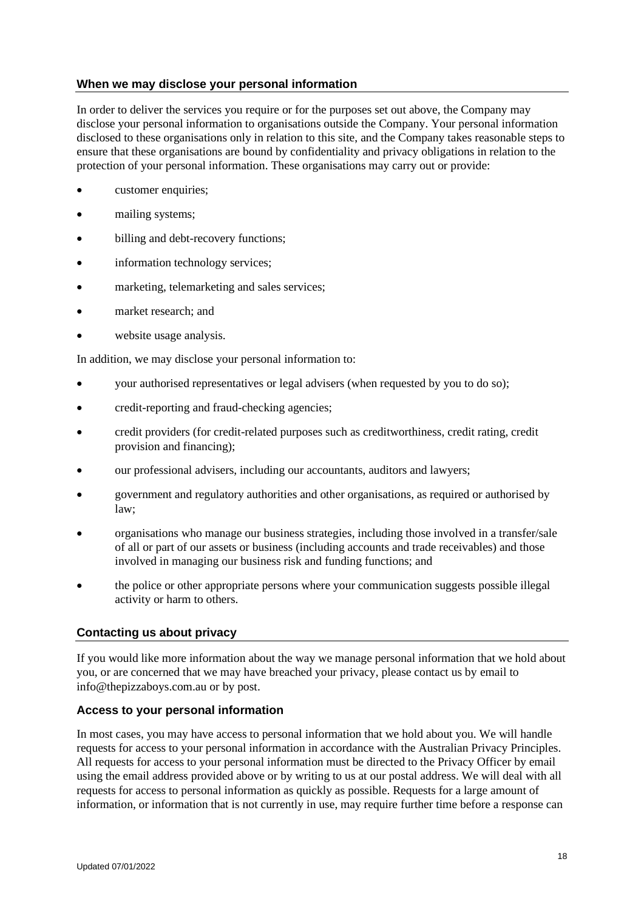# **When we may disclose your personal information**

In order to deliver the services you require or for the purposes set out above, the Company may disclose your personal information to organisations outside the Company. Your personal information disclosed to these organisations only in relation to this site, and the Company takes reasonable steps to ensure that these organisations are bound by confidentiality and privacy obligations in relation to the protection of your personal information. These organisations may carry out or provide:

- customer enquiries:
- mailing systems;
- billing and debt-recovery functions;
- information technology services;
- marketing, telemarketing and sales services;
- market research; and
- website usage analysis.

In addition, we may disclose your personal information to:

- your authorised representatives or legal advisers (when requested by you to do so);
- credit-reporting and fraud-checking agencies;
- credit providers (for credit-related purposes such as creditworthiness, credit rating, credit provision and financing);
- our professional advisers, including our accountants, auditors and lawyers;
- government and regulatory authorities and other organisations, as required or authorised by law;
- organisations who manage our business strategies, including those involved in a transfer/sale of all or part of our assets or business (including accounts and trade receivables) and those involved in managing our business risk and funding functions; and
- the police or other appropriate persons where your communication suggests possible illegal activity or harm to others.

# **Contacting us about privacy**

If you would like more information about the way we manage personal information that we hold about you, or are concerned that we may have breached your privacy, please contact us by email to info@thepizzaboys.com.au or by post.

# **Access to your personal information**

In most cases, you may have access to personal information that we hold about you. We will handle requests for access to your personal information in accordance with the Australian Privacy Principles. All requests for access to your personal information must be directed to the Privacy Officer by email using the email address provided above or by writing to us at our postal address. We will deal with all requests for access to personal information as quickly as possible. Requests for a large amount of information, or information that is not currently in use, may require further time before a response can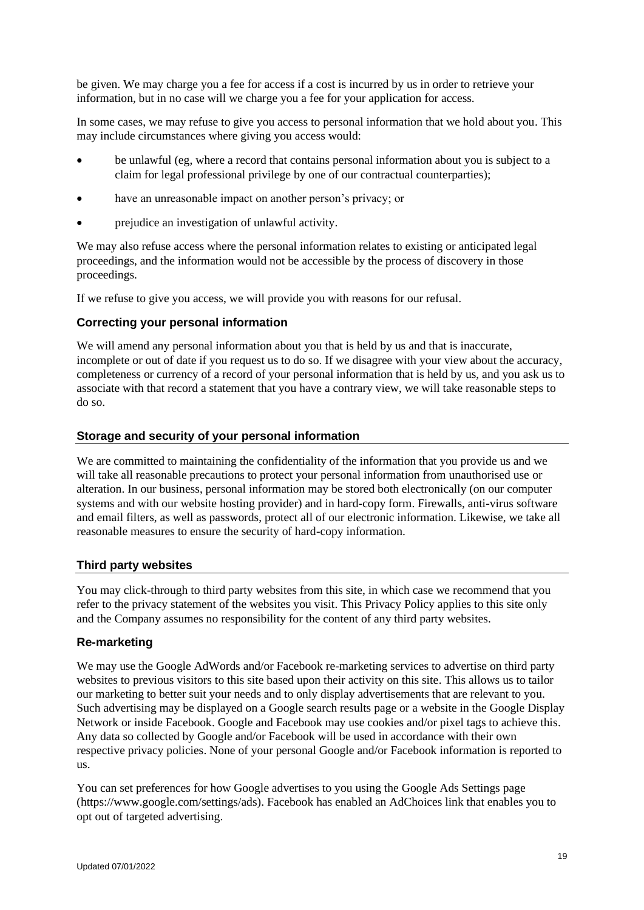be given. We may charge you a fee for access if a cost is incurred by us in order to retrieve your information, but in no case will we charge you a fee for your application for access.

In some cases, we may refuse to give you access to personal information that we hold about you. This may include circumstances where giving you access would:

- be unlawful (eg, where a record that contains personal information about you is subject to a claim for legal professional privilege by one of our contractual counterparties);
- have an unreasonable impact on another person's privacy; or
- prejudice an investigation of unlawful activity.

We may also refuse access where the personal information relates to existing or anticipated legal proceedings, and the information would not be accessible by the process of discovery in those proceedings.

If we refuse to give you access, we will provide you with reasons for our refusal.

### **Correcting your personal information**

We will amend any personal information about you that is held by us and that is inaccurate, incomplete or out of date if you request us to do so. If we disagree with your view about the accuracy, completeness or currency of a record of your personal information that is held by us, and you ask us to associate with that record a statement that you have a contrary view, we will take reasonable steps to do so.

### **Storage and security of your personal information**

We are committed to maintaining the confidentiality of the information that you provide us and we will take all reasonable precautions to protect your personal information from unauthorised use or alteration. In our business, personal information may be stored both electronically (on our computer systems and with our website hosting provider) and in hard-copy form. Firewalls, anti-virus software and email filters, as well as passwords, protect all of our electronic information. Likewise, we take all reasonable measures to ensure the security of hard-copy information.

#### **Third party websites**

You may click-through to third party websites from this site, in which case we recommend that you refer to the privacy statement of the websites you visit. This Privacy Policy applies to this site only and the Company assumes no responsibility for the content of any third party websites.

#### **Re-marketing**

We may use the Google AdWords and/or Facebook re-marketing services to advertise on third party websites to previous visitors to this site based upon their activity on this site. This allows us to tailor our marketing to better suit your needs and to only display advertisements that are relevant to you. Such advertising may be displayed on a Google search results page or a website in the Google Display Network or inside Facebook. Google and Facebook may use cookies and/or pixel tags to achieve this. Any data so collected by Google and/or Facebook will be used in accordance with their own respective privacy policies. None of your personal Google and/or Facebook information is reported to us.

You can set preferences for how Google advertises to you using the Google Ads Settings page (https://www.google.com/settings/ads). Facebook has enabled an AdChoices link that enables you to opt out of targeted advertising.